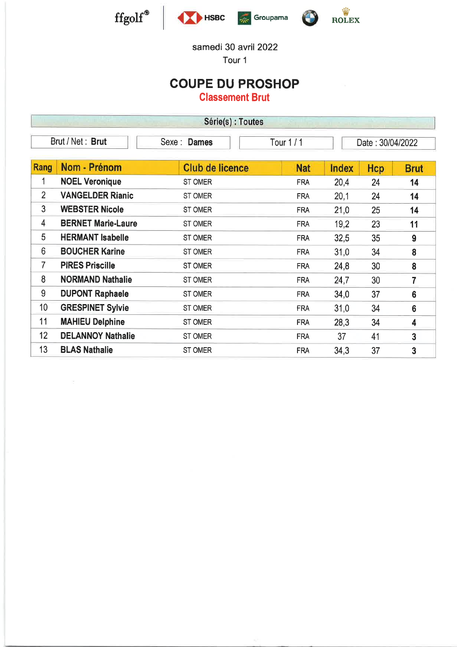

 $\geq$ 





#### samedi 30 avril 2022

Tour <sup>1</sup>

## COUPE DU PROSHOP

Classement Brut

|                 | Série(s) : Toutes                                                 |                        |            |              |     |                |  |  |  |
|-----------------|-------------------------------------------------------------------|------------------------|------------|--------------|-----|----------------|--|--|--|
|                 | Brut / Net: Brut<br>Sexe: Dames<br>Tour $1/1$<br>Date: 30/04/2022 |                        |            |              |     |                |  |  |  |
| Rang            | Nom - Prénom                                                      | <b>Club de licence</b> | <b>Nat</b> | <b>Index</b> | Hcp | <b>Brut</b>    |  |  |  |
| 1               | <b>NOEL Veronique</b>                                             | ST OMER                | <b>FRA</b> | 20,4         | 24  | 14             |  |  |  |
| $\overline{2}$  | <b>VANGELDER Rianic</b>                                           | ST OMER                | <b>FRA</b> | 20,1         | 24  | 14             |  |  |  |
| 3               | <b>WEBSTER Nicole</b>                                             | ST OMER                | <b>FRA</b> | 21,0         | 25  | 14             |  |  |  |
| 4               | <b>BERNET Marie-Laure</b>                                         | <b>ST OMER</b>         | <b>FRA</b> | 19,2         | 23  | 11             |  |  |  |
| 5               | <b>HERMANT Isabelle</b>                                           | <b>ST OMER</b>         | <b>FRA</b> | 32,5         | 35  | 9              |  |  |  |
| 6               | <b>BOUCHER Karine</b>                                             | <b>ST OMER</b>         | <b>FRA</b> | 31,0         | 34  | 8              |  |  |  |
| $\overline{7}$  | <b>PIRES Priscille</b>                                            | <b>ST OMER</b>         | <b>FRA</b> | 24,8         | 30  | 8              |  |  |  |
| 8               | <b>NORMAND Nathalie</b>                                           | <b>ST OMER</b>         | <b>FRA</b> | 24,7         | 30  | 7              |  |  |  |
| 9               | <b>DUPONT Raphaele</b>                                            | <b>ST OMER</b>         | <b>FRA</b> | 34,0         | 37  | $6\phantom{1}$ |  |  |  |
| 10 <sup>°</sup> | <b>GRESPINET Sylvie</b>                                           | ST OMER                | <b>FRA</b> | 31,0         | 34  | $6\phantom{1}$ |  |  |  |
| 11              | <b>MAHIEU Delphine</b>                                            | ST OMER                | <b>FRA</b> | 28,3         | 34  | 4              |  |  |  |
| 12              | <b>DELANNOY Nathalie</b>                                          | ST OMER                | <b>FRA</b> | 37           | 41  | 3              |  |  |  |
| 13              | <b>BLAS Nathalie</b>                                              | ST OMER                | <b>FRA</b> | 34,3         | 37  | 3              |  |  |  |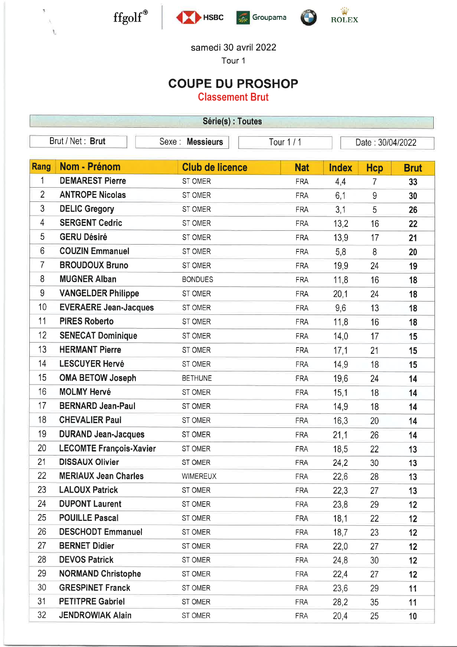

ş X. h,







### samedi 30 avril 2022

Tour <sup>1</sup>

## COUPE DU PROSHOP

Classement Brut

| Série(s) : Toutes                                                          |                                |                        |            |              |            |             |  |
|----------------------------------------------------------------------------|--------------------------------|------------------------|------------|--------------|------------|-------------|--|
| Brut / Net: Brut<br>Sexe: Messieurs<br><b>Tour 1/1</b><br>Date: 30/04/2022 |                                |                        |            |              |            |             |  |
|                                                                            |                                |                        |            |              |            |             |  |
| Rang                                                                       | Nom - Prénom                   | <b>Club de licence</b> | <b>Nat</b> | <b>Index</b> | <b>Hcp</b> | <b>Brut</b> |  |
| $\overline{1}$                                                             | <b>DEMAREST Pierre</b>         | ST OMER                | <b>FRA</b> | 4,4          | 7          | 33          |  |
| $\overline{2}$                                                             | <b>ANTROPE Nicolas</b>         | ST OMER                | <b>FRA</b> | 6,1          | 9          | 30          |  |
| 3                                                                          | <b>DELIC Gregory</b>           | ST OMER                | <b>FRA</b> | 3,1          | 5          | 26          |  |
| 4                                                                          | <b>SERGENT Cedric</b>          | ST OMER                | <b>FRA</b> | 13,2         | 16         | 22          |  |
| 5                                                                          | <b>GERU Désiré</b>             | ST OMER                | <b>FRA</b> | 13,9         | 17         | 21          |  |
| $6\phantom{a}$                                                             | <b>COUZIN Emmanuel</b>         | ST OMER                | <b>FRA</b> | 5,8          | 8          | 20          |  |
| $\overline{7}$                                                             | <b>BROUDOUX Bruno</b>          | ST OMER                | <b>FRA</b> | 19,9         | 24         | 19          |  |
| 8                                                                          | <b>MUGNER Alban</b>            | <b>BONDUES</b>         | <b>FRA</b> | 11,8         | 16         | 18          |  |
| 9                                                                          | <b>VANGELDER Philippe</b>      | ST OMER                | <b>FRA</b> | 20,1         | 24         | 18          |  |
| 10                                                                         | <b>EVERAERE Jean-Jacques</b>   | ST OMER                | <b>FRA</b> | 9,6          | 13         | 18          |  |
| 11                                                                         | <b>PIRES Roberto</b>           | ST OMER                | <b>FRA</b> | 11,8         | 16         | 18          |  |
| 12                                                                         | <b>SENECAT Dominique</b>       | ST OMER                | <b>FRA</b> | 14,0         | 17         | 15          |  |
| 13                                                                         | <b>HERMANT Pierre</b>          | ST OMER                | <b>FRA</b> | 17,1         | 21         | 15          |  |
| 14                                                                         | <b>LESCUYER Hervé</b>          | ST OMER                | <b>FRA</b> | 14,9         | 18         | 15          |  |
| 15                                                                         | <b>OMA BETOW Joseph</b>        | <b>BETHUNE</b>         | <b>FRA</b> | 19,6         | 24         | 14          |  |
| 16                                                                         | <b>MOLMY Hervé</b>             | ST OMER                | <b>FRA</b> | 15,1         | 18         | 14          |  |
| 17                                                                         | <b>BERNARD Jean-Paul</b>       | ST OMER                | <b>FRA</b> | 14,9         | 18         | 14          |  |
| 18                                                                         | <b>CHEVALIER Paul</b>          | ST OMER                | <b>FRA</b> | 16,3         | 20         | 14          |  |
| 19                                                                         | <b>DURAND Jean-Jacques</b>     | ST OMER                | <b>FRA</b> | 21,1         | 26         | 14          |  |
| 20                                                                         | <b>LECOMTE François-Xavier</b> | ST OMER                | <b>FRA</b> | 18,5         | 22         | 13          |  |
| 21                                                                         | <b>DISSAUX Olivier</b>         | ST OMER                | <b>FRA</b> | 24,2         | 30         | 13          |  |
| 22                                                                         | <b>MERIAUX Jean Charles</b>    | <b>WIMEREUX</b>        | <b>FRA</b> | 22,6         | 28         | 13          |  |
| 23                                                                         | <b>LALOUX Patrick</b>          | ST OMER                | <b>FRA</b> | 22,3         | 27         | 13          |  |
| 24                                                                         | <b>DUPONT Laurent</b>          | ST OMER                | <b>FRA</b> | 23,8         | 29         | 12          |  |
| 25                                                                         | <b>POUILLE Pascal</b>          | ST OMER                | <b>FRA</b> | 18,1         | 22         | 12          |  |
| 26                                                                         | <b>DESCHODT Emmanuel</b>       | ST OMER                | <b>FRA</b> | 18,7         | 23         | 12          |  |
| 27                                                                         | <b>BERNET Didier</b>           | ST OMER                | <b>FRA</b> | 22,0         | 27         | 12          |  |
| 28                                                                         | <b>DEVOS Patrick</b>           | ST OMER                | <b>FRA</b> | 24,8         | 30         | 12          |  |
| 29                                                                         | <b>NORMAND Christophe</b>      | ST OMER                | <b>FRA</b> | 22,4         | 27         | 12          |  |
| 30                                                                         | <b>GRESPINET Franck</b>        | ST OMER                | <b>FRA</b> | 23,6         | 29         | 11          |  |
| 31                                                                         | <b>PETITPRE Gabriel</b>        | ST OMER                | <b>FRA</b> | 28,2         | 35         | 11          |  |
| 32                                                                         | <b>JENDROWIAK Alain</b>        | ST OMER                | <b>FRA</b> | 20,4         | 25         | 10          |  |
|                                                                            |                                |                        |            |              |            |             |  |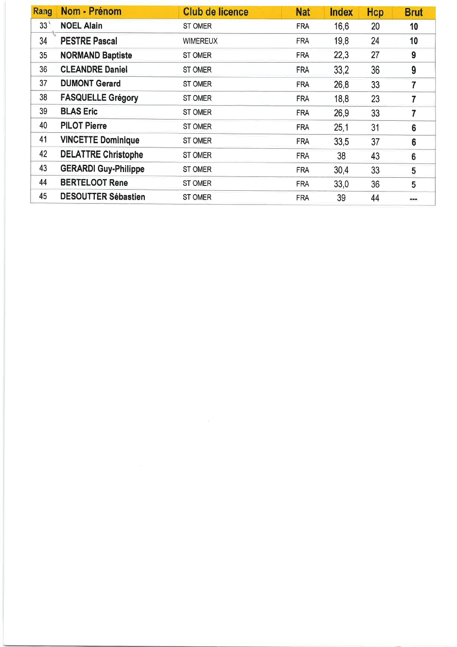| Rang            | Nom - Prénom                | <b>Club de licence</b> | <b>Nat</b> | <b>Index</b> | Hcp | <b>Brut</b>    |
|-----------------|-----------------------------|------------------------|------------|--------------|-----|----------------|
| 33 <sup>1</sup> | <b>NOEL Alain</b>           | <b>ST OMER</b>         | <b>FRA</b> | 16,6         | 20  | 10             |
| 34              | <b>PESTRE Pascal</b>        | <b>WIMEREUX</b>        | <b>FRA</b> | 19,8         | 24  | 10             |
| 35              | <b>NORMAND Baptiste</b>     | <b>ST OMER</b>         | <b>FRA</b> | 22,3         | 27  | 9              |
| 36              | <b>CLEANDRE Daniel</b>      | <b>ST OMER</b>         | <b>FRA</b> | 33,2         | 36  | 9              |
| 37              | <b>DUMONT Gerard</b>        | <b>ST OMER</b>         | <b>FRA</b> | 26,8         | 33  | 7              |
| 38              | <b>FASQUELLE Grégory</b>    | <b>ST OMER</b>         | <b>FRA</b> | 18,8         | 23  | 7              |
| 39              | <b>BLAS Eric</b>            | <b>ST OMER</b>         | <b>FRA</b> | 26,9         | 33  | 7              |
| 40              | <b>PILOT Pierre</b>         | <b>ST OMER</b>         | <b>FRA</b> | 25,1         | 31  | $6\phantom{1}$ |
| 41              | <b>VINCETTE Dominique</b>   | ST OMER                | <b>FRA</b> | 33,5         | 37  | 6              |
| 42              | <b>DELATTRE Christophe</b>  | ST OMER                | <b>FRA</b> | 38           | 43  | 6              |
| 43              | <b>GERARDI Guy-Philippe</b> | ST OMER                | <b>FRA</b> | 30.4         | 33  | 5              |
| 44              | <b>BERTELOOT Rene</b>       | ST OMER                | <b>FRA</b> | 33,0         | 36  | 5              |
| 45              | <b>DESOUTTER Sébastien</b>  | <b>ST OMER</b>         | <b>FRA</b> | 39           | 44  | $\cdots$       |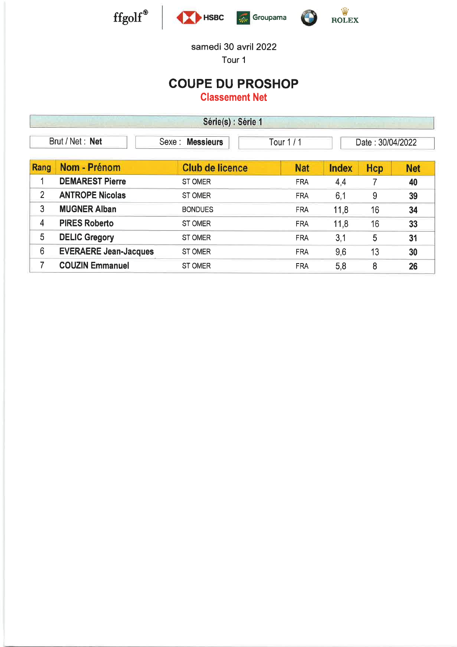





Tour <sup>1</sup>

## COUPE DU PROSHOP

|                | Série(s) : Série 1<br><b>CALLED BAR</b> |                            |            |              |                  |            |  |  |  |
|----------------|-----------------------------------------|----------------------------|------------|--------------|------------------|------------|--|--|--|
|                | Brut / Net: Net                         | <b>Messieurs</b><br>Sexe : | Tour 1 / 1 |              | Date: 30/04/2022 |            |  |  |  |
| Rang           | Nom - Prénom                            | <b>Club de licence</b>     | <b>Nat</b> | <b>Index</b> | Hcp              | <b>Net</b> |  |  |  |
|                | <b>DEMAREST Pierre</b>                  | ST OMER                    | <b>FRA</b> | 44           |                  | 40         |  |  |  |
| $\overline{2}$ | <b>ANTROPE Nicolas</b>                  | <b>ST OMER</b>             | <b>FRA</b> | 6.1          | 9                | 39         |  |  |  |
| 3              | <b>MUGNER Alban</b>                     | <b>BONDUES</b>             | <b>FRA</b> | 11,8         | 16               | 34         |  |  |  |
| 4              | <b>PIRES Roberto</b>                    | <b>ST OMER</b>             | <b>FRA</b> | 11,8         | 16               | 33         |  |  |  |
| 5              | <b>DELIC Gregory</b>                    | <b>ST OMER</b>             | <b>FRA</b> | 3,1          | 5                | 31         |  |  |  |
| 6              | <b>EVERAERE Jean-Jacques</b>            | <b>ST OMER</b>             | <b>FRA</b> | 9,6          | 13               | 30         |  |  |  |
| 7              | <b>COUZIN Emmanuel</b>                  | <b>ST OMER</b>             | <b>FRA</b> | 5,8          | 8                | 26         |  |  |  |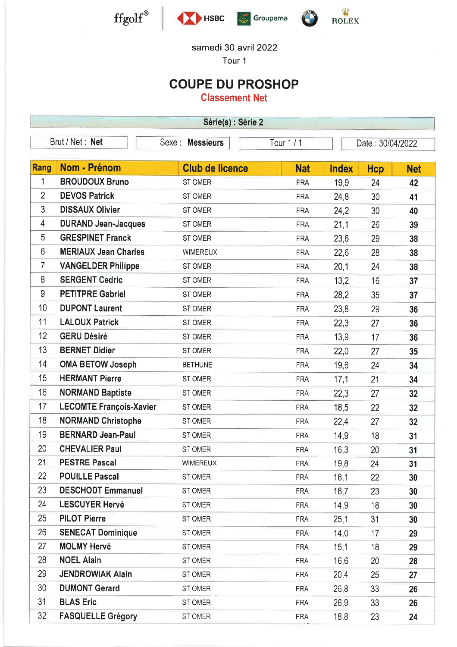







Tour <sup>1</sup>

## COUPE DU PROSHOP

| Série(s) : Série 2 |                                                                      |                        |            |              |            |            |  |
|--------------------|----------------------------------------------------------------------|------------------------|------------|--------------|------------|------------|--|
|                    | Brut / Net : Net<br>Sexe : Messieurs<br>Tour 1/1<br>Date: 30/04/2022 |                        |            |              |            |            |  |
|                    |                                                                      |                        |            |              |            |            |  |
| <b>Rang</b>        | Nom - Prénom                                                         | <b>Club de licence</b> | <b>Nat</b> | <b>Index</b> | <b>Hcp</b> | <b>Net</b> |  |
| 1                  | <b>BROUDOUX Bruno</b>                                                | ST OMER                | <b>FRA</b> | 19,9         | 24         | 42         |  |
| $\overline{2}$     | <b>DEVOS Patrick</b>                                                 | ST OMER                | <b>FRA</b> | 24,8         | 30         | 41         |  |
| 3                  | <b>DISSAUX Olivier</b>                                               | ST OMER                | <b>FRA</b> | 24,2         | 30         | 40         |  |
| 4                  | <b>DURAND Jean-Jacques</b>                                           | ST OMER                | <b>FRA</b> | 21,1         | 26         | 39         |  |
| 5                  | <b>GRESPINET Franck</b>                                              | ST OMER                | <b>FRA</b> | 23,6         | 29         | 38         |  |
| 6                  | <b>MERIAUX Jean Charles</b>                                          | <b>WIMEREUX</b>        | <b>FRA</b> | 22,6         | 28         | 38         |  |
| 7                  | <b>VANGELDER Philippe</b>                                            | ST OMER                | <b>FRA</b> | 20,1         | 24         | 38         |  |
| 8                  | <b>SERGENT Cedric</b>                                                | ST OMER                | <b>FRA</b> | 13,2         | 16         | 37         |  |
| 9                  | <b>PETITPRE Gabriel</b>                                              | ST OMER                | <b>FRA</b> | 28,2         | 35         | 37         |  |
| 10                 | <b>DUPONT Laurent</b>                                                | ST OMER                | <b>FRA</b> | 23,8         | 29         | 36         |  |
| 11                 | <b>LALOUX Patrick</b>                                                | ST OMER                | <b>FRA</b> | 22,3         | 27         | 36         |  |
| 12                 | <b>GERU Désiré</b>                                                   | ST OMER                | <b>FRA</b> | 13,9         | 17         | 36         |  |
| 13                 | <b>BERNET Didier</b>                                                 | ST OMER                | <b>FRA</b> | 22,0         | 27         | 35         |  |
| 14                 | <b>OMA BETOW Joseph</b>                                              | <b>BETHUNE</b>         | <b>FRA</b> | 19,6         | 24         | 34         |  |
| 15                 | <b>HERMANT Pierre</b>                                                | ST OMER                | <b>FRA</b> | 17,1         | 21         | 34         |  |
| 16                 | <b>NORMAND Baptiste</b>                                              | ST OMER                | <b>FRA</b> | 22,3         | 27         | 32         |  |
| 17                 | <b>LECOMTE François-Xavier</b>                                       | ST OMER                | <b>FRA</b> | 18,5         | 22         | 32         |  |
| 18                 | <b>NORMAND Christophe</b>                                            | ST OMER                | <b>FRA</b> | 22,4         | 27         | 32         |  |
| 19                 | <b>BERNARD Jean-Paul</b>                                             | ST OMER                | <b>FRA</b> | 14,9         | 18         | 31         |  |
| 20                 | <b>CHEVALIER Paul</b>                                                | ST OMER                | <b>FRA</b> | 16,3         | 20         | 31         |  |
| 21                 | <b>PESTRE Pascal</b>                                                 | <b>WIMEREUX</b>        | <b>FRA</b> | 19,8         | 24         | 31         |  |
| 22                 | <b>POUILLE Pascal</b>                                                | ST OMER                | <b>FRA</b> | 18,1         | 22         | 30         |  |
| 23                 | <b>DESCHODT Emmanuel</b>                                             | ST OMER                | <b>FRA</b> | 18,7         | 23         | 30         |  |
| 24                 | <b>LESCUYER Hervé</b>                                                | ST OMER                | <b>FRA</b> | 14,9         | 18         | 30         |  |
| 25                 | <b>PILOT Pierre</b>                                                  | ST OMER                | <b>FRA</b> | 25,1         | 31         | 30         |  |
| 26                 | <b>SENECAT Dominique</b>                                             | ST OMER                | <b>FRA</b> | 14,0         | 17         | 29         |  |
| 27                 | <b>MOLMY Hervé</b>                                                   | ST OMER                | <b>FRA</b> | 15,1         | 18         | 29         |  |
| 28                 | <b>NOEL Alain</b>                                                    | ST OMER                | <b>FRA</b> | 16,6         | 20         | 28         |  |
| 29                 | <b>JENDROWIAK Alain</b>                                              | ST OMER                | <b>FRA</b> | 20,4         | 25         | 27         |  |
| 30                 | <b>DUMONT Gerard</b>                                                 | ST OMER                | <b>FRA</b> | 26,8         | 33         | 26         |  |
| 31                 | <b>BLAS Eric</b>                                                     | ST OMER                | <b>FRA</b> | 26,9         | 33         | 26         |  |
| 32                 | <b>FASQUELLE Grégory</b>                                             | ST OMER                | <b>FRA</b> | 18,8         | 23         | 24         |  |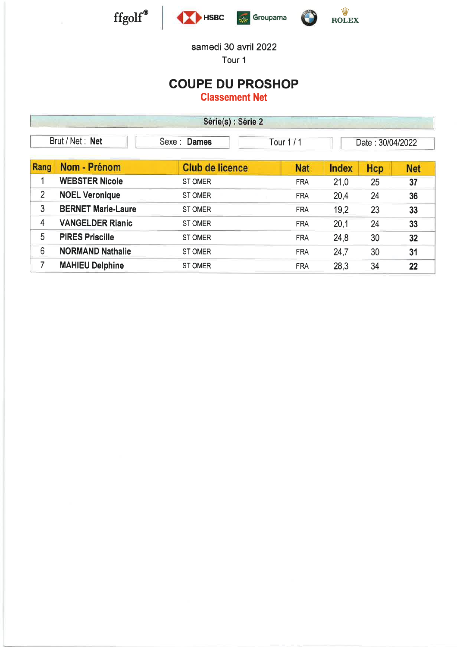







Tour <sup>1</sup>

## COUPE DU PROSHOP

| Série(s) : Série 2 |                           |                        |            |              |                  |            |  |  |
|--------------------|---------------------------|------------------------|------------|--------------|------------------|------------|--|--|
|                    | Brut / Net: Net           | Sexe : Dames           | Tour $1/1$ |              | Date: 30/04/2022 |            |  |  |
| Rang               | Nom - Prénom              | <b>Club de licence</b> | <b>Nat</b> | <b>Index</b> | Hcp              | <b>Net</b> |  |  |
|                    | <b>WEBSTER Nicole</b>     | <b>ST OMER</b>         | <b>FRA</b> | 21,0         | 25               | 37         |  |  |
| $\overline{2}$     | <b>NOEL Veronique</b>     | <b>ST OMER</b>         | <b>FRA</b> | 20,4         | 24               | 36         |  |  |
| 3                  | <b>BERNET Marie-Laure</b> | <b>ST OMER</b>         | <b>FRA</b> | 19,2         | 23               | 33         |  |  |
| 4                  | <b>VANGELDER Rianic</b>   | <b>ST OMER</b>         | <b>FRA</b> | 20,1         | 24               | 33         |  |  |
| 5                  | <b>PIRES Priscille</b>    | <b>ST OMER</b>         | <b>FRA</b> | 24,8         | 30               | 32         |  |  |
| 6                  | <b>NORMAND Nathalie</b>   | <b>ST OMER</b>         | <b>FRA</b> | 24,7         | 30               | 31         |  |  |
| 7                  | <b>MAHIEU Delphine</b>    | <b>ST OMER</b>         | <b>FRA</b> | 28,3         | 34               | 22         |  |  |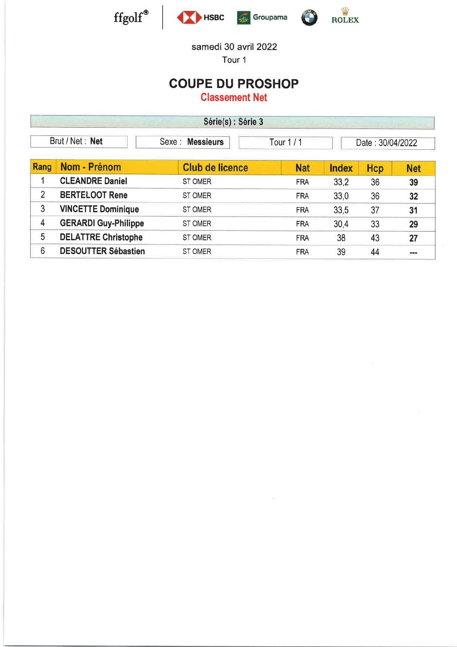





Tour <sup>1</sup>

## COUPE DU PROSHOP

|                 | Série(s) : Série 3          |                                         |            |              |                  |            |  |  |  |
|-----------------|-----------------------------|-----------------------------------------|------------|--------------|------------------|------------|--|--|--|
| Brut / Net: Net |                             | <b>Messieurs</b><br>Sexe:<br>Tour 1 / 1 |            |              | Date: 30/04/2022 |            |  |  |  |
| Rang            | Nom - Prénom                | <b>Club de licence</b>                  | <b>Nat</b> | <b>Index</b> | Hcp              | <b>Net</b> |  |  |  |
|                 | <b>CLEANDRE Daniel</b>      | <b>ST OMER</b>                          | <b>FRA</b> | 33.2         | 36               | 39         |  |  |  |
| $\overline{2}$  | <b>BERTELOOT Rene</b>       | <b>ST OMER</b>                          | <b>FRA</b> | 33,0         | 36               | 32         |  |  |  |
| 3               | <b>VINCETTE Dominique</b>   | <b>ST OMER</b>                          | <b>FRA</b> | 33,5         | 37               | 31         |  |  |  |
| 4               | <b>GERARDI Guy-Philippe</b> | <b>ST OMER</b>                          | <b>FRA</b> | 30.4         | 33               | 29         |  |  |  |
| 5               | <b>DELATTRE Christophe</b>  | <b>ST OMER</b>                          | <b>FRA</b> | 38           | 43               | 27         |  |  |  |
| 6               | <b>DESOUTTER Sébastien</b>  | <b>ST OMER</b>                          | <b>FRA</b> | 39           | 44               | 実施所        |  |  |  |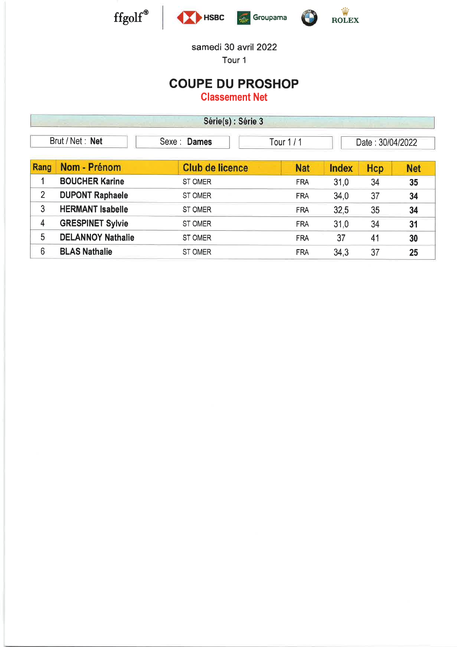



Tour <sup>1</sup>

### COUPE DU PROSHOP

| Série(s) : Série 3 |                          |                           |            |              |                  |            |  |  |
|--------------------|--------------------------|---------------------------|------------|--------------|------------------|------------|--|--|
| Brut / Net: Net    |                          | Sexe: Dames<br>Tour $1/1$ |            |              | Date: 30/04/2022 |            |  |  |
| Rang               | Nom - Prénom             | <b>Club de licence</b>    | <b>Nat</b> | <b>Index</b> | Hcp              | <b>Net</b> |  |  |
|                    | <b>BOUCHER Karine</b>    | <b>ST OMER</b>            | <b>FRA</b> | 31,0         | 34               | 35         |  |  |
| $\overline{2}$     | <b>DUPONT Raphaele</b>   | <b>ST OMER</b>            | <b>FRA</b> | 34,0         | 37               | 34         |  |  |
| 3                  | <b>HERMANT Isabelle</b>  | ST OMER                   | <b>FRA</b> | 32.5         | 35               | 34         |  |  |
| 4                  | <b>GRESPINET Sylvie</b>  | ST OMER                   | <b>FRA</b> | 31,0         | 34               | 31         |  |  |
| 5                  | <b>DELANNOY Nathalie</b> | <b>ST OMER</b>            | <b>FRA</b> | 37           | 41               | 30         |  |  |
| 6                  | <b>BLAS Nathalie</b>     | ST OMER                   | <b>FRA</b> | 34,3         | 37               | 25         |  |  |